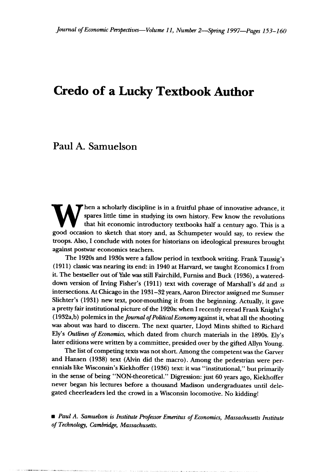# **Credo of a Lucky Textbook Author**

# Paul A. Samuelson

When a scholarly discipline is in a fruitful phase of innovative advance, it spares little time in studying its own history. Few know the revolutions that hit economic introductory textbooks half a century ago. This is a g hen a scholarly discipline is in a fruitful phase of innovative advance, it spares little time in studying its own history. Few know the revolutions that hit economic introductory textbooks half a century ago. This is a troops. Also, I conclude with notes for historians on ideological pressures brought against postwar economics teachers.

The 1920s and 1930s were a fallow period in textbook writing. Frank Taussig's (1911) classic was nearing its end: in 1940 at Harvard, we taught Economics I from it. The bestseller out of Yale was still Fairchild, Fumiss and Buck (1936), a watereddown version of Irving Fisher's (1911) text with coverage of Marshall's dd and ss intersections. At Chicago in the 1931-32 years, Aaron Director assigned me Sumner Slichter's (1931) new text, poor-mouthing it from the beginning. Actually, it gave a pretty fair institutional picture of the 1920s: when I recently reread Frank Knight's (1932a,b) polemics in *the Journal of Political Economy* against it, what all the shooting was about was hard to discern. The next quarter, Lloyd Mints shifted to Richard Ely's *Outlines of Economics,* which dated from church materials in the 1890s. Ely's later editions were written by a committee, presided over by the gifted Allyn Young.

The list of competing texts was not short. Among the competent was the Garver and Hansen (1938) text (Alvin did the macro). Among the pedestrian were perennials like Wisconsin's Kiekhoffer (1936) text: it was "institutional," but primarily in the sense of being "NON-theoretical." Digression: just 60 years ago, Kiekhoffer never began his lectures before a thousand Madison undergraduates until delegated cheerleaders led the crowd in a Wisconsin locomotive. No kidding!

• *Paul A. Samuelson is Institute Professor Emeritus of Economics, Massachusetts Institute of Technology, Cambridge, Massachusetts.*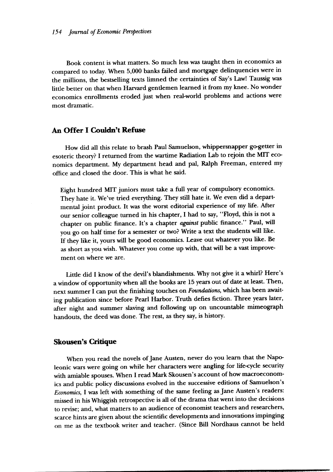Book content is what matters. So much less was taught then in economics as compared to today. When 5,000 banks failed and mortgage delinquencies were in the millions, the bestselling texts limned the certainties of Say's Law! Taussig was little better on that when Harvard gentlemen learned it from my knee. No wonder economics enrollments eroded just when real-world problems and actions were most dramatic.

### **An Offer I Couldn't Refuse**

How did all this relate to brash Paul Samuelson, whippersnapper go-getter in esoteric theory? I returned from the wartime Radiation Lab to rejoin the MIT economics department. My department head and pal, Ralph Freeman, entered my office and closed the door. This is what he said.

Eight hundred MIT juniors must take a full year of compulsory economics. They hate it. We've tried everything. They still hate it. We even did a departmental joint product. It was the worst editorial experience of my life. After our senior colleague turned in his chapter, I had to say, "Floyd, this is not a chapter on public finance. It's a chapter *against* public finance." Paul, will you go on half time for a semester or two? Write a text the students will like. If they like it, yours will be good economics. Leave out whatever you like. Be as short as you wish. Whatever you come up with, that will be a vast improvement on where we are.

Little did I know of the devil's blandishments. Why not give it a whirl? Here's a window of opportunity when all the books are 15 years out of date at least. Then, next summer I can put the finishing touches on *Foundations,* which has been awaiting publication since before Pearl Harbor. Truth defies fiction. Three years later, after night and summer slaving and following up on imcountable mimeograph handouts, the deed was done. The rest, as they say, is history.

#### **Skousen's Critique**

When you read the novels of Jane Austen, never do you leam that the Napoleonic wars were going on while her characters were angling for life-cycle security with amiable spouses. When I read Mark Skousen's account of how macroeconomics and public policy discussions evolved in the successive editions of Samuelson's *Economics,* I was left with something of the same feeling as Jane Austen's readers: missed in his Whiggish retrospective is all of the drama that went into the decisions to revise; and, what matters to an audience of economist teachers and researchers, scarce hints are given about the scientific developments and innovations impinging on me as the textbook writer and teacher. (Since Bill Nordhaus cannot be held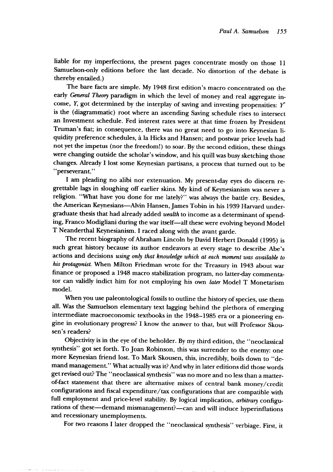liable for my imperfections, the present pages concentrate mosdy on those 11 Samuelson-only editions before the last decade. No distortion of the debate is thereby entailed.)

The bare facts are simple. My 1948 first edition's macro concentrated on the early *General Theory* paradigm in which the level of money and real aggregate income,  $Y$ , got determined by the interplay of saving and investing propensities:  $Y^*$ is the (diagrammatic) root where an ascending Saving schedule rises to intersect an Investment schedule. Fed interest rates were at that time frozen by President Truman's fiat; in consequence, there was no great need to go into Keynesian liquidity preference schedules, a la Hicks and Hansen; and postwar price levels had not yet the impetus (nor the freedom!) to soar. By the second edition, these things were changing outside the scholar's window, and his quill was busy sketching those changes. Already I lost some Keynesian partisans, a process that turned out to be "perseverant."

I am pleading no alibi nor extenuation. My present-day eyes do discern regrettable lags in sloughing off earlier skins. My kind of Keynesianism was never a religion. "What have you done for me lately?" was always the batde cry. Besides, the American Keynesians—Alvin Hansen, James Tobin in his 1939 Harvard undergraduate thesis that had already added *wealth* to income as a determinant of spending. Franco Modigliani during the war itself—all these were evolving beyond Model T Neanderthal Keynesianism. I raced along with the avant garde.

The recent biography of Abraham Lincoln by David Herbert Donald (1995) is such great history because its author endeavors at every stage to describe Abe's actions and decisions using only that knowledge which at each moment was available to *his protagonist.* When Milton Friedman wrote for the Treasury in 1943 about war finance or proposed a 1948 macro stabilization program, no latter-day commentator can validly indict him for not employing his own *later* Model T Monetarism model.

When you use paleontological fossils to oudine the history of species, use them all. Was the Samuelson elementary text lagging behind the plethora of emerging intermediate macroeconomic textbooks in the 1948-1985 era or a pioneering engine in evolutionary progress? I know the answer to that, but will Professor Skousen's readers?

Objecdvity is in the eye of the beholder. By my third edition, the "neoclassical synthesis" got set forth. To Joan Robinson, this was surrender to the enemy: one more Keynesian friend lost. To Mark Skousen, this, incredibly, boils down to "demand management." What actually was it? And why in later editions did those words get revised out? The "neoclassical synthesis" was no more and no less than a matterof-fact statement that there are alternative mixes of central bank money/credit configurations and fiscal expenditure/tax configurations that are compatible with full employment and price-level stability. By logical implication, arbitrary configurations of these—demand mismanagement?—can and will induce hyperinfladons and recessionary unemployments.

For two reasons I later dropped the "neoclassical synthesis" verbiage. First, it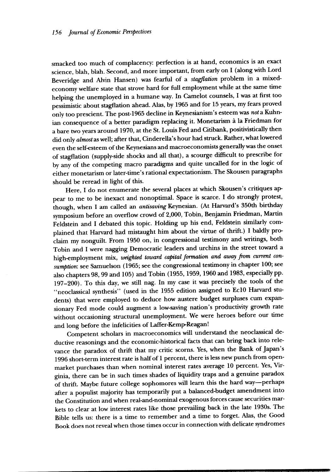smacked too much of complacency: perfection is at hand, economics is an exact science, blah, blah. Second, and more important, from early on I (along with Lord Beveridge and Alvin Hansen) was fearful of a *stagflation* problem in a mixedeconomy welfare state that strove hard for full employment while at the same time helping the unemployed in a humane way. In Camelot counsels, I was at first too pessimistic about stagflation ahead. Alas, by 1965 and for 15 years, my fears proved only too prescient. The post-1965 decline in Keynesianism's esteem was not a Kuhnian consequence of a better paradigm replacing it. Monetarism a la Friedman for a bare two years around 1970, at the St. Louis Fed and Citibank, positivistically then did only *almost as* well; after that, Cinderella's hour had struck. Rather, what lowered even the self-esteem of the Keynesians and macroeconomists generally was the onset of stagflation (supply-side shocks and all that), a scourge difficult to prescribe for by any of the competing macro paradigms and quite uncalled for in the logic of either monetarism or later-time's rational expectationism. The Skousen paragraphs should be reread in light of this.

Here, I do not enumerate the several places at which Skousen's critiques appear to me to be inexact and nonoptimal. Space is scarce. I do strongly protest, though, when I am called an *antisaving* Keynesian. (At Harvard's 350th birthday symposium before an overflow crowd of 2,000, Tobin, Benjamin Friedman, Martin Feldstein and I debated this topic. Holding up his end, Feldstein similarly complained that Harvard had mistaught him about the virtue of thrift.) I baldly proclaim my nonguilt. From 1950 on, in congressional testimony and writings, both Tobin and I were nagging Democratic leaders and urchins in the street toward a high-employment mix, weighted toward capital formation and away from current con*sumption:* see Samuelson (1965; see the congressional testimony in chapter 100; see also chapters 98, 99 and 105) and Tobin (1955,1959,1960 and 1983, especially pp. 197-200). To this day, we still nag. In my case it was precisely the tools of the "neoclassical synthesis" (used in the 1955 edition assigned to EclO Harvard students) that were employed to deduce how austere budget surpluses cum expansionary Fed mode could augment a low-saving nation's productivity growth rate without occasioning structural unemployment. We were heroes before our time and long before the infelicities of Laffer-Remp-Reagan!

Competent scholars in macroeconomics will understand the neoclassical deductive reasonings and the economic-historical facts that can bring back into relevance the paradox of thrift that my critic scorns. Yes, when the Bank of Japan's 1996 short-term interest rate is half of 1 percent, there is less new punch from openmarket purchases than when nominal interest rates average 10 percent. Yes, Virginia, there can be in such times shades of liquidity traps and a genuine paradox of thrift. Maybe future college sophomores will learn this the hard way—perhaps after a populist majority has temporarily put a balanced-budget amendment into the Constitution and when real-and-nominal exogenous forces cause securities markets to clear at low interest rates like those prevailing back in the late 1930s. The Bible tells us: there is a time to remember and a time to forget. Alas, the Good Book does not reveal when those times occur in connection with delicate syndromes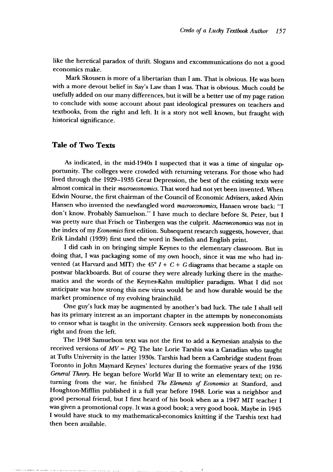like the heretical paradox of thrift. Slogans and excommunications do not a good economics make.

Mark Skousen is more of a libertarian than I am. That is obvious. He was bom with a more devout belief in Say's Law than I was. That is obvious. Much could be usefully added on our many differences, but it will be a better use of my page ration to conclude with some account about past ideological pressures on teachers and textbooks, from the right and left. It is a story not well known, but fraught with historical significance.

## **Tale of Two Texts**

As indicated, in the mid-1940s I suspected that it was a time of singular opportunity. The colleges were crowded with returning veterans. For those who had lived through the 1929-1935 Great Depression, die best of the existing texts were almost comical in their *macroeconomics.* That word had not yet been invented. When Edwin Nourse, the first chairman of the Council of Economic Advisers, asked Alvin Hansen who invented the newfangled word *macroeconomics,* Hansen wrote back: "I don't know. Probably Samuelson." I have much to declare before St. Peter, but I was pretty sure that Frisch or Tinbergen was the culprit. *Macroeconomics* was not in the index of my *Economics* first edition. Subsequent research suggests, however, that Erik Lindahl (1939) first used the word in Swedish and English print.

I did cash in on bringing simple Keynes to the elementary classroom. But in doing that, I was packaging some of my own hooch, since it was me who had invented (at Harvard and MIT) the  $45^{\circ}$  I + C + G diagrams that became a staple on postwar blackboards. But of course they were already lurking there in the mathematics and the words of the Keynes-Kahn muldplier paradigm. What I did not anticipate was how strong this new virus would be and how durable would be the market prominence of my evolving brainchild.

One guy's luck may be augmented by another's bad luck. The tale I shall tell has its primary interest as an important chapter in the attempts by noneconomists to censor what is taught in the university. Censors seek suppression both from the right and from the left.

The 1948 Samuelson text was not the first to add a Keynesian analysis to the received versions of  $MV = PQ$ . The late Lorie Tarshis was a Canadian who taught at Tufts University in the latter 1930s. Tarshis had been a Cambridge student from Toronto in John Maynard Keynes' lectures during the formative years of the 1936 *General Theory.* He began before World War II to write an elementary text; on returning from the war, he finished *The Elements of Economics* at Stanford, and Houghton-Mifflin published it a full year before 1948. Lorie was a neighbor and good personal friend, but I first heard of his book when as a 1947 MIT teacher I was given a promotional copy. It was a good book; a very good book. Maybe in 1945 I would have stuck to my mathematical-economics knitting if the Tarshis text had then been available.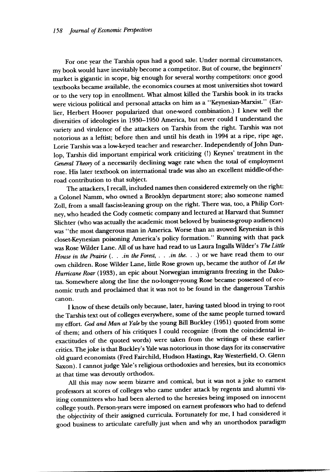For one year the Tarshis opus had a good sale. Under normal circumstances, my book would have inevitably become a competitor. But of course, the beginners' market is gigantic in scope, big enough for several worthy competitors: once good textbooks became available, the economics courses at most universities shot toward or to the very top in enrollment. What almost killed the Tarshis book in its tracks were vicious political and personal attacks on him as a "Keynesian-Marxist." (Earlier, Herbert Hoover popularized that one-word combination.) I knew well the diversities of ideologies in 1930-1950 America, but never could I understand the variety and virulence of the attackers on Tarshis from the right. Tarshis was not notorious as a leftist; before then and until his death in 1994 at a ripe, ripe age, Lorie Tarshis was a low-keyed teacher and researcher. Independentiy of John Dunlop, Tarshis did important empirical work criticizing (!) Keynes' treatment in the *General Theory* of a necessarily declining wage rate when the total of employment rose. His later textbook on international trade was also an excellent middle-of-dieroad contribution to that subject.

The attackers, I recall, included names then considered extremely on the right: a Colonel Namm, who owned a Brooklyn department store; also someone named ZoU, from a small fascist-leaning group on the right. There was, too, a Philip Cortney, who headed the Cody cosmetic company and lectured at Harvard that Sumner Slichter (who was actually the academic most beloved by business-group audiences) was "the most dangerous man in America. Worse than an avowed Keynesian is this closet-Keynesian poisoning America's policy formation." Running with that pack was Rose Wilder Lane. All of us have had read to us Laura Ingalls Wilder's *The Little House in the Prairie* (. . *.in the Forest, .* . *.in the. .* .) or we have read them to our own children. Rose Wilder Lane, littie Rose grown up, became the author of *Let the Hurricane Roar* (1933), an epic about Norwegian immigrants freezing in the Dakotas. Somewhere along the line the no-longer-young Rose became possessed of economic truth and proclaimed that it was not to be found in the dangerous Tarshis canon.

I know of these details only because, later, having tasted blood in trying to root the Tarshis text out of colleges everywhere, some *oithe* same people turned toward my effort. God and Man at Yale by the young Bill Buckley (1951) quoted from some of them; and others of his critiques I could recognize (from the coincidental inexactitudes of the quoted words) were taken from the writings of these earlier critics. The joke is that Buckley's Yale was notorious in those days for its conservative old guard economists (Fred Fairchild, Hudson Hastings, Ray Westerfield, O. Glenn Saxon). I cannot judge Yale's religious orthodoxies and heresies, but its economics at that time was devoutiy orthodox.

All this may now seem bizarre and comical, but it was not a joke to earnest professors at scores of colleges who came under attack by regents and alumni visiting committees who had been alerted to the heresies being imposed on innocent college youth. Person-years were imposed on earnest professors who had to defend the objectivity of their assigned curricula. Fortunately for me, I had considered it good business to articulate carefully just when and why an unorthodox paradigm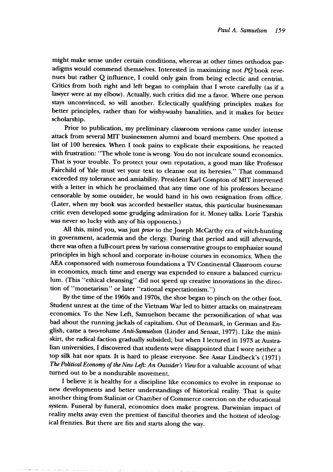might make sense under certain conditions, whereas at other times orthodox paradigms would commend themselves. Interested in maximizing not *PQ* book revenues but rather Q influence, I could only gain from being eclectic and centrist. Critics from both right and left began to complain that I wrote carefully (as if a lawyer were at my elbow). Actually, such critics did me a favor. Where one person stays unconvinced, so will another. Eclectically qualifying principles makes for better principles, rather than for wishy-washy banalides, and it makes for better scholarship.

Prior to publication, my preliminary classroom versions came under intense attack firom several MIT businessmen alumni and board members. One spotted a list of 100 heresies. When I took pains to explicate their exposidons, he reacted with frustration: "The whole tone is wrong. You do not inculcate sound economics. That is your trouble. To protect your own reputation, a good man like Professor Fairchild of Yale must vet your text to cleanse out its heresies." That command exceeded my tolerance and amiability. President Karl Compton of MIT intervened with a letter in which he proclaimed that any time one of his professors became censorable by some outsider, he would hand in his own resignation from office. (Later, when my book was accorded bestseller status, this particular businessman cridc even developed some grudging admiration for it. Money talks. Lorie Tarshis was never so lucky with any of his opponents.)

All this, mind you, was just *prior* to the Joseph McCarthy era of witch-hunting in government, academia and the clergy. During that period and still afterwards, there was often a full-court press by various conservative groups to emphasize sound principles in high school and corporate in-house courses in economics. When the AEA cosponsored with numerous foundations a TV Continental Classroom course in economics, much time and energy was expended to ensure a balanced curriculum. (This "ethical cleansing" did not speed up creative innovations in the direction of "monetarism" or later "radonal expectationism.")

By the time of the 1960s and 1970s, the shoe began to pinch on the other foot. Student unrest at the time of the Vietnam War led to bitter attacks on mainstream economics. To the New Left, Samuelson became the personification of what was bad about the running jackals of capitalism. Out of Denmark, in German and English, came a two-volume *Anti-Samuelson* (Linder and Sensat, 1977). Like the miniskirt, the radical faction gradually subsided; but when I lectured in 1973 at Australian universities, I discovered that students were disappointed that I wore neither a top silk hat nor spats. It is hard to please everyone. See Assar Lindbeck's (1971) The Political Economy of the New Left: An Outsider's View for a valuable account of what turned out to be a nondurable movement.

I believe it is healthy for a discipline like economics to evolve in response to new developments and better understandings of historical reality. That is quite another thing from Stalinist or Chamber of Commerce coercion on the educational system. Funeral by funeral, economics does make progress. Darwinian impact of reality melts away even the prettiest of fanciful theories and the hottest of ideological frenzies. But there are fits and starts along the way.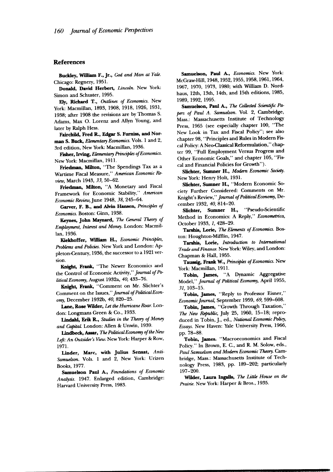#### **References**

Buckley, William F., Jr., God and Man at Yale. Chicago: Regnery, 1951.

Donald, David Herbert, Lincoln. New York: Simon and Schuster, 1995.

Ely, Richard T., Outlines of Economics. New York: Macmillan, 1893, 1908, 1918, 1926, 1931, 1938; after 1908 the revisions are by Thomas S. Adams, Max O. Lorenz and Allyn Young, and later by Ralph Hess.

Fairchild, Fred R., Edgar S. Furniss, and Norman S. Buck, Elementary Economics. Vols. 1 and 2, 3rd edition, New York: Macmillan, 1936.

Fisher, Irving, Elementary Principles of Economics. New York: Macmillan, 1911.

Friedman, Milton, "The Spendings Tax as a Wartime Fiscal Measure," American Economic Review, March 1943, 33, 50-62.

Friedman, Milton, "A Monetary and Fiscal Framework for Economic Stability," American Economic Review, June 1948, 38, 245-64.

Garver, F. B., and Alvin Hansen, Principles of Economics. Boston: Ginn, 1938.

Keynes, John Maynard, The General Theory of Employment, Interest and Money. London: Macmillan, 1936.

Kiekhoffer, William H., Economic Principles, Problems and Policies. New York and London: Appleton-Century, 1936, the successor to a 1921 version.

Knight, Frank, "The Newer Economics and the Control of Economic Activity," Journal of Political Economy, August 1932a, 40, 433-76.

Knight, Frank, "Comment on Mr. Slichter's Comment on the Issues," Journal of Political Economy, December 1932b, 40, 820-25.

Lane, Rose Wilder, Let the Hurricane Roar. London: Longmans Green & Co., 1933.

Lindahl, Erik R., Studies in the Theory of Money and Capital. London: Allen & Unwin, 1939.

Lindbeck, Assar, The Political Economy of the New Left: An Outsider's View. New York: Harper & Row, 1971.

Linder, Marc, with Julius Sensat, Anti-Samuelson. Vols. 1 and 2, New York: Urizen Books, 1977.

Samuelson Paul A., Foundations of Economic Analysis. 1947. Enlarged edition, Cambridge: Harvard University Press, 1983.

Samuelson, Paul A., Economics. New York: McGraw-Hill, 1948, 1952, 1955, 1958, 1961, 1964, 1967, 1970, 1973, 1980; with William D. Nordhaus, 12th, 13th, 14th, and 15th editions, 1985, 1989, 1992, 1995.

Samuelson, Paul A., The Collected Scientific Papers of Paul A. Samuelson. Vol. 2, Cambridge. Mass.: Massachusetts Institute of Technology Press, 1965 (see especially chapter 100, "The New Look in Tax and Fiscal Policy"; see also chapter 98, "Principles and Rules in Modern Fiscal Policy: A Neo-Classical Reformulation," chapter 99, "Full Employment Versus Progress and Other Economic Goals," and chapter 105, "Fiscal and Financial Policies for Growth").

Slichter, Sumner H., Modern Economic Society. New York: Henry Holt, 1931.

Slichter, Sumner H., "Modern Economic Society Further Considered: Comments on Mr. Knight's Review," Journal of Political Economy, December 1932, 40, 814-20.

Slichter, Sumner H., "Pseudo-Scientific Method in Economics: A Reply," Econometrica, October 1933, 1, 428-29.

Tarshis, Lorie, The Elements of Economics. Boston: Houghton-Mifflin, 1947.

Tarshis, Lorie, Introduction to International Trade and Finance. New York: Wiley, and London: Chapman & Hall, 1955.

Taussig, Frank W., Principles of Economics. New York: Macmillan, 1911.

Tobin, James, "A Dynamic Aggregative Model," Journal of Political Economy, April 1955, 31, 103-15.

Tobin, James, "Reply to Professor Eisner," Economic Journal, September 1959, 69, 599-608.

Tobin, James, "Growth Through Taxation," The New Republic, July 25, 1960, 15-18; reproduced in Tobin, J., ed., National Economic Policy, Essays. New Haven: Yale University Press, 1966. pp. 78-88.

Tobin, James. "Macroeconomics and Fiscal Policy." In Brown, E. C., and R. M. Solow, eds., Paul Samuelson and Modern Economic Theory. Cambridge, Mass.: Massachusetts Institute of Technology Press, 1983, pp. 189-202; particularly 197-200.

Wilder, Laura Ingalls, The Little House on the Prairie. New York: Harper & Bros., 1935.